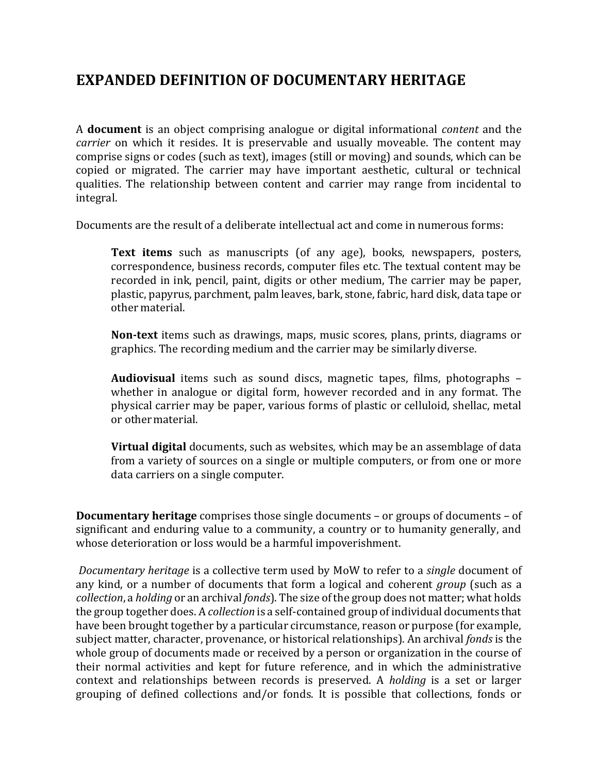## **EXPANDED DEFINITION OF DOCUMENTARY HERITAGE**

A **document** is an object comprising analogue or digital informational *content* and the *carrier* on which it resides. It is preservable and usually moveable. The content may comprise signs or codes (such as text), images (still or moving) and sounds, which can be copied or migrated. The carrier may have important aesthetic, cultural or technical qualities. The relationship between content and carrier may range from incidental to integral.

Documents are the result of a deliberate intellectual act and come in numerous forms:

**Text items** such as manuscripts (of any age), books, newspapers, posters, correspondence, business records, computer files etc. The textual content may be recorded in ink, pencil, paint, digits or other medium, The carrier may be paper, plastic, papyrus, parchment, palm leaves, bark, stone, fabric, hard disk, data tape or other material.

**Non-text** items such as drawings, maps, music scores, plans, prints, diagrams or graphics. The recording medium and the carrier may be similarlydiverse.

**Audiovisual** items such as sound discs, magnetic tapes, films, photographs – whether in analogue or digital form, however recorded and in any format. The physical carrier may be paper, various forms of plastic or celluloid, shellac, metal or othermaterial.

**Virtual digital** documents, such as websites, which may be an assemblage of data from a variety of sources on a single or multiple computers, or from one or more data carriers on a single computer.

**Documentary heritage** comprises those single documents – or groups of documents – of significant and enduring value to a community, a country or to humanity generally, and whose deterioration or loss would be a harmful impoverishment.

*Documentary heritage* is a collective term used by MoW to refer to a *single* document of any kind, or a number of documents that form a logical and coherent *group* (such as a *collection*, a *holding* or an archival *fonds*). The size of the group does not matter; what holds the group together does. A *collection* is a self-contained group of individual documents that have been brought together by a particular circumstance, reason or purpose (for example, subject matter, character, provenance, or historical relationships). An archival *fonds* is the whole group of documents made or received by a person or organization in the course of their normal activities and kept for future reference, and in which the administrative context and relationships between records is preserved. A *holding* is a set or larger grouping of defined collections and/or fonds. It is possible that collections, fonds or